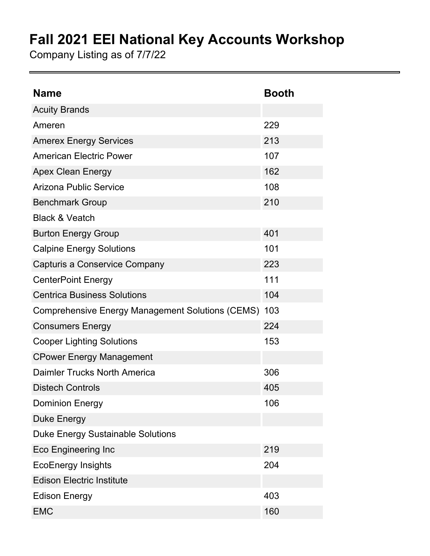## **Fall 2021 EEI National Key Accounts Workshop**

Company Listing as of 7/7/22

| <b>Name</b>                                      | <b>Booth</b> |
|--------------------------------------------------|--------------|
| <b>Acuity Brands</b>                             |              |
| Ameren                                           | 229          |
| <b>Amerex Energy Services</b>                    | 213          |
| <b>American Electric Power</b>                   | 107          |
| <b>Apex Clean Energy</b>                         | 162          |
| <b>Arizona Public Service</b>                    | 108          |
| <b>Benchmark Group</b>                           | 210          |
| <b>Black &amp; Veatch</b>                        |              |
| <b>Burton Energy Group</b>                       | 401          |
| <b>Calpine Energy Solutions</b>                  | 101          |
| Capturis a Conservice Company                    | 223          |
| <b>CenterPoint Energy</b>                        | 111          |
| <b>Centrica Business Solutions</b>               | 104          |
| Comprehensive Energy Management Solutions (CEMS) | 103          |
| <b>Consumers Energy</b>                          | 224          |
| <b>Cooper Lighting Solutions</b>                 | 153          |
| <b>CPower Energy Management</b>                  |              |
| Daimler Trucks North America                     | 306          |
| <b>Distech Controls</b>                          | 405          |
| <b>Dominion Energy</b>                           | 106          |
| <b>Duke Energy</b>                               |              |
| <b>Duke Energy Sustainable Solutions</b>         |              |
| <b>Eco Engineering Inc</b>                       | 219          |
| <b>EcoEnergy Insights</b>                        | 204          |
| <b>Edison Electric Institute</b>                 |              |
| <b>Edison Energy</b>                             | 403          |
| <b>EMC</b>                                       | 160          |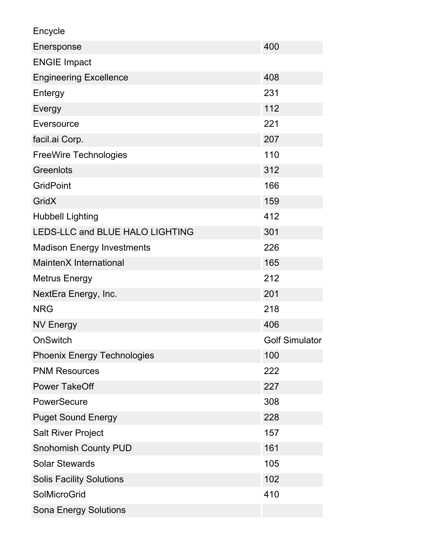Encycle

| Enersponse                         | 400                   |
|------------------------------------|-----------------------|
| <b>ENGIE Impact</b>                |                       |
| <b>Engineering Excellence</b>      | 408                   |
| Entergy                            | 231                   |
| Evergy                             | 112                   |
| Eversource                         | 221                   |
| facil.ai Corp.                     | 207                   |
| <b>FreeWire Technologies</b>       | 110                   |
| Greenlots                          | 312                   |
| <b>GridPoint</b>                   | 166                   |
| <b>GridX</b>                       | 159                   |
| <b>Hubbell Lighting</b>            | 412                   |
| LEDS-LLC and BLUE HALO LIGHTING    | 301                   |
| <b>Madison Energy Investments</b>  | 226                   |
| MaintenX International             | 165                   |
| <b>Metrus Energy</b>               | 212                   |
| NextEra Energy, Inc.               | 201                   |
| <b>NRG</b>                         | 218                   |
| <b>NV Energy</b>                   | 406                   |
| <b>OnSwitch</b>                    | <b>Golf Simulator</b> |
| <b>Phoenix Energy Technologies</b> | 100                   |
| <b>PNM Resources</b>               | 222                   |
| <b>Power TakeOff</b>               | 227                   |
| PowerSecure                        | 308                   |
| <b>Puget Sound Energy</b>          | 228                   |
| <b>Salt River Project</b>          | 157                   |
| <b>Snohomish County PUD</b>        | 161                   |
| <b>Solar Stewards</b>              | 105                   |
| <b>Solis Facility Solutions</b>    | 102                   |
| <b>SolMicroGrid</b>                | 410                   |
| <b>Sona Energy Solutions</b>       |                       |